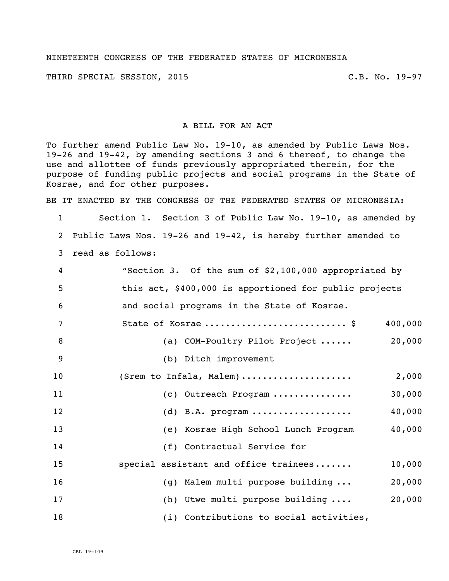## NINETEENTH CONGRESS OF THE FEDERATED STATES OF MICRONESIA

THIRD SPECIAL SESSION, 2015 C.B. No. 19-97

## A BILL FOR AN ACT

To further amend Public Law No. 19-10, as amended by Public Laws Nos. 19-26 and 19-42, by amending sections 3 and 6 thereof, to change the use and allottee of funds previously appropriated therein, for the purpose of funding public projects and social programs in the State of Kosrae, and for other purposes.

BE IT ENACTED BY THE CONGRESS OF THE FEDERATED STATES OF MICRONESIA:

 Section 1. Section 3 of Public Law No. 19-10, as amended by Public Laws Nos. 19-26 and 19-42, is hereby further amended to read as follows:

| 4              | "Section 3. Of the sum of \$2,100,000 appropriated by  |         |
|----------------|--------------------------------------------------------|---------|
| 5              | this act, \$400,000 is apportioned for public projects |         |
| 6              | and social programs in the State of Kosrae.            |         |
| 7              | State of Kosrae  \$                                    | 400,000 |
| 8              | (a) COM-Poultry Pilot Project                          | 20,000  |
| $\overline{9}$ | (b) Ditch improvement                                  |         |
| 10             | (Srem to Infala, Malem)                                | 2,000   |
| 11             | (c) Outreach Program                                   | 30,000  |
| 12             | $(d)$ B.A. program                                     | 40,000  |
| 13             | (e) Kosrae High School Lunch Program                   | 40,000  |
| 14             | (f) Contractual Service for                            |         |
| 15             | special assistant and office trainees                  | 10,000  |
| 16             | (g) Malem multi purpose building                       | 20,000  |
| 17             | (h) Utwe multi purpose building                        | 20,000  |
| 18             | (i) Contributions to social activities,                |         |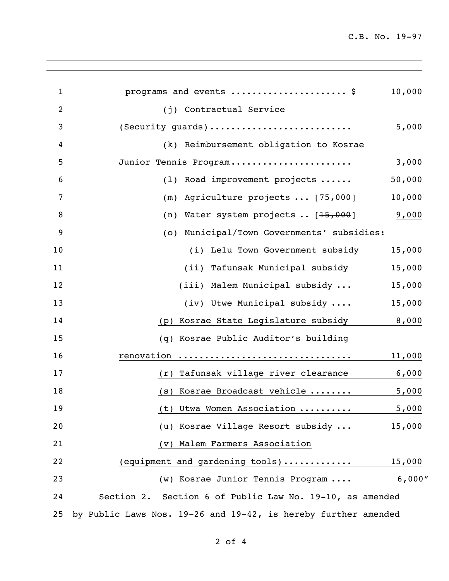C.B. No. 19-97

| $\mathbf{1}$ | programs and events  \$                                        | 10,000 |
|--------------|----------------------------------------------------------------|--------|
| 2            | (j) Contractual Service                                        |        |
| 3            | (Security guards)                                              | 5,000  |
| 4            | (k) Reimbursement obligation to Kosrae                         |        |
| 5            | Junior Tennis Program                                          | 3,000  |
| 6            | Road improvement projects<br>(1)                               | 50,000 |
| 7            | Agriculture projects  [75,000]<br>(m)                          | 10,000 |
| 8            | Water system projects  [15,000]<br>(n)                         | 9,000  |
| 9            | Municipal/Town Governments' subsidies:<br>(0)                  |        |
| 10           | (i) Lelu Town Government subsidy                               | 15,000 |
| 11           | (ii) Tafunsak Municipal subsidy                                | 15,000 |
| 12           | (iii) Malem Municipal subsidy                                  | 15,000 |
| 13           | (iv) Utwe Municipal subsidy                                    | 15,000 |
| 14           | Kosrae State Legislature subsidy<br>(p)                        | 8,000  |
| 15           | Kosrae Public Auditor's building<br>(q)                        |        |
| 16           | renovation                                                     | 11,000 |
| 17           | Tafunsak village river clearance<br>(r)                        | 6,000  |
| 18           | Kosrae Broadcast vehicle<br>(S)                                | 5,000  |
| 19           | (t) Utwa Women Association                                     | 5,000  |
| 20           | Kosrae Village Resort subsidy<br>(u)                           | 15,000 |
| 21           | (v) Malem Farmers Association                                  |        |
| 22           | (equipment and gardening tools)                                | 15,000 |
| 23           | (w) Kosrae Junior Tennis Program                               | 6,000" |
| 24           | Section 2. Section 6 of Public Law No. 19-10, as amended       |        |
| 25           | by Public Laws Nos. 19-26 and 19-42, is hereby further amended |        |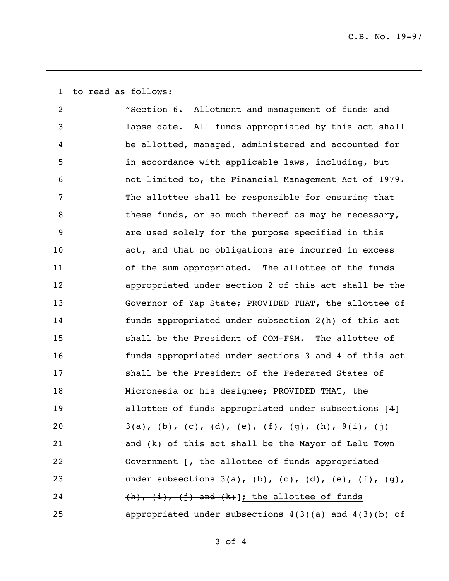to read as follows:

 "Section 6. Allotment and management of funds and lapse date. All funds appropriated by this act shall be allotted, managed, administered and accounted for in accordance with applicable laws, including, but not limited to, the Financial Management Act of 1979. The allottee shall be responsible for ensuring that 8 these funds, or so much thereof as may be necessary, are used solely for the purpose specified in this act, and that no obligations are incurred in excess of the sum appropriated. The allottee of the funds appropriated under section 2 of this act shall be the Governor of Yap State; PROVIDED THAT, the allottee of funds appropriated under subsection 2(h) of this act shall be the President of COM-FSM. The allottee of funds appropriated under sections 3 and 4 of this act shall be the President of the Federated States of Micronesia or his designee; PROVIDED THAT, the allottee of funds appropriated under subsections [4] 20 3(a), (b), (c), (d), (e), (f), (g), (h),  $9(i)$ , (j) and (k) of this act shall be the Mayor of Lelu Town 22 Government [, the allottee of funds appropriated 23 under subsections  $3(a)$ ,  $(b)$ ,  $(c)$ ,  $(d)$ ,  $(e)$ ,  $(f)$ ,  $(g)$ ,  $(h), (i), (j)$  and  $(k)$ ]; the allottee of funds appropriated under subsections 4(3)(a) and 4(3)(b) of